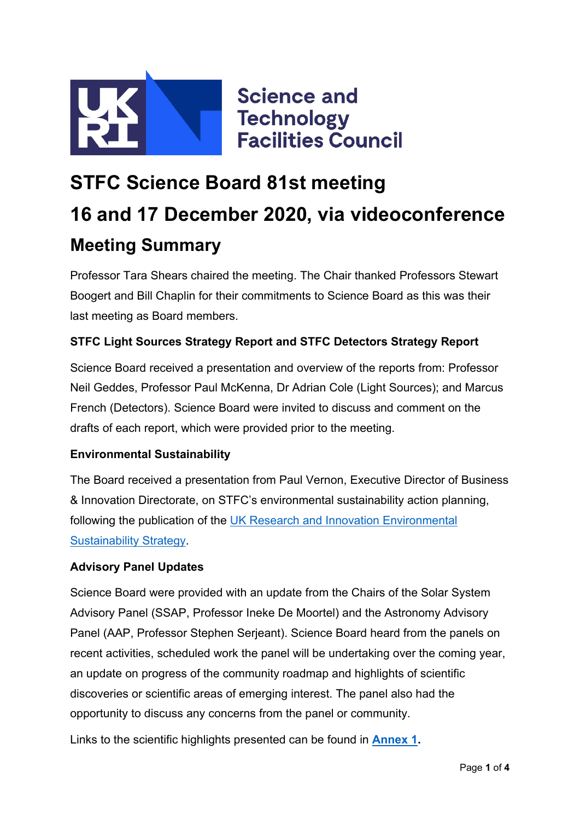

# **STFC Science Board 81st meeting 16 and 17 December 2020, via videoconference Meeting Summary**

Professor Tara Shears chaired the meeting. The Chair thanked Professors Stewart Boogert and Bill Chaplin for their commitments to Science Board as this was their last meeting as Board members.

#### **STFC Light Sources Strategy Report and STFC Detectors Strategy Report**

Science Board received a presentation and overview of the reports from: Professor Neil Geddes, Professor Paul McKenna, Dr Adrian Cole (Light Sources); and Marcus French (Detectors). Science Board were invited to discuss and comment on the drafts of each report, which were provided prior to the meeting.

#### **Environmental Sustainability**

The Board received a presentation from Paul Vernon, Executive Director of Business & Innovation Directorate, on STFC's environmental sustainability action planning, following the publication of the UK [Research and Innovation](https://www.ukri.org/wp-content/uploads/2020/10/UKRI-050920-SustainabilityStrategy.pdf) Environmental [Sustainability Strategy.](https://www.ukri.org/wp-content/uploads/2020/10/UKRI-050920-SustainabilityStrategy.pdf)

#### **Advisory Panel Updates**

Science Board were provided with an update from the Chairs of the Solar System Advisory Panel (SSAP, Professor Ineke De Moortel) and the Astronomy Advisory Panel (AAP, Professor Stephen Serjeant). Science Board heard from the panels on recent activities, scheduled work the panel will be undertaking over the coming year, an update on progress of the community roadmap and highlights of scientific discoveries or scientific areas of emerging interest. The panel also had the opportunity to discuss any concerns from the panel or community.

Links to the scientific highlights presented can be found in **[Annex 1.](#page-2-0)**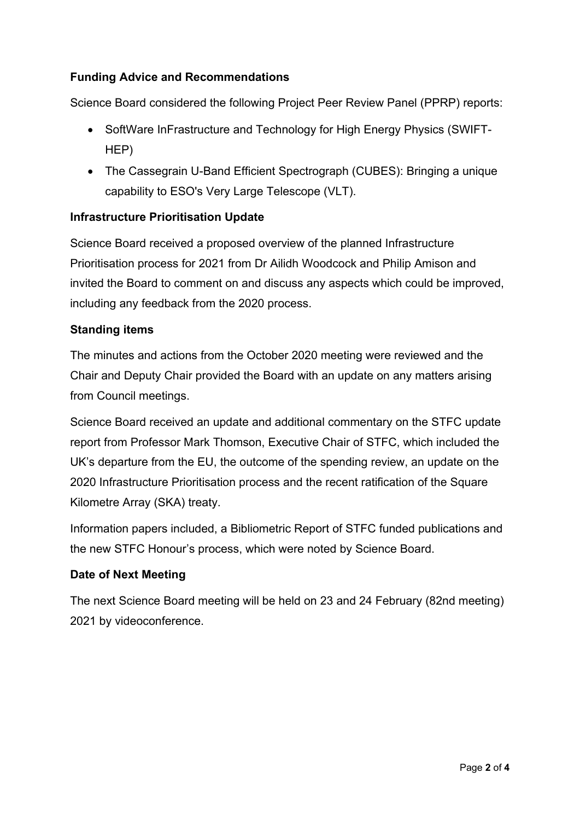#### **Funding Advice and Recommendations**

Science Board considered the following Project Peer Review Panel (PPRP) reports:

- SoftWare InFrastructure and Technology for High Energy Physics (SWIFT-HEP)
- The Cassegrain U-Band Efficient Spectrograph (CUBES): Bringing a unique capability to ESO's Very Large Telescope (VLT).

#### **Infrastructure Prioritisation Update**

Science Board received a proposed overview of the planned Infrastructure Prioritisation process for 2021 from Dr Ailidh Woodcock and Philip Amison and invited the Board to comment on and discuss any aspects which could be improved, including any feedback from the 2020 process.

#### **Standing items**

The minutes and actions from the October 2020 meeting were reviewed and the Chair and Deputy Chair provided the Board with an update on any matters arising from Council meetings.

Science Board received an update and additional commentary on the STFC update report from Professor Mark Thomson, Executive Chair of STFC, which included the UK's departure from the EU, the outcome of the spending review, an update on the 2020 Infrastructure Prioritisation process and the recent ratification of the Square Kilometre Array (SKA) treaty.

Information papers included, a Bibliometric Report of STFC funded publications and the new STFC Honour's process, which were noted by Science Board.

#### **Date of Next Meeting**

The next Science Board meeting will be held on 23 and 24 February (82nd meeting) 2021 by videoconference.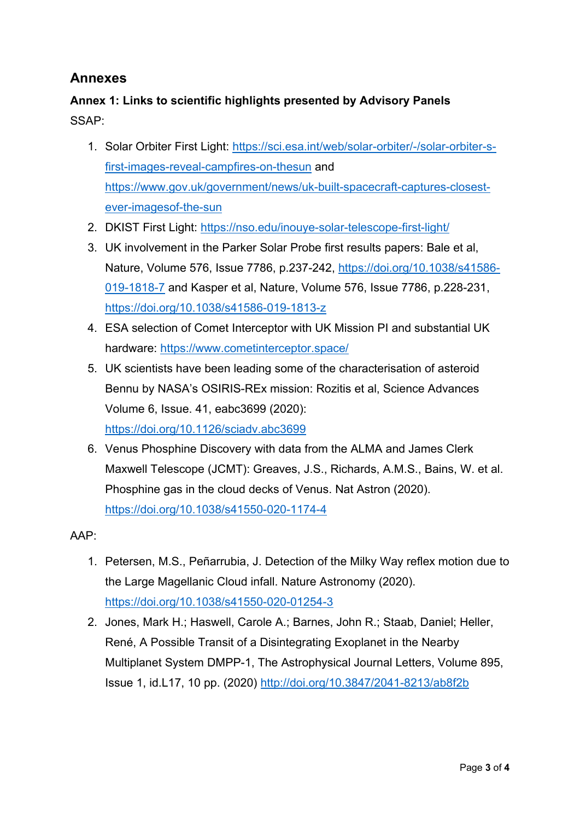### **Annexes**

## <span id="page-2-0"></span>**Annex 1: Links to scientific highlights presented by Advisory Panels** SSAP:

- 1. Solar Orbiter First Light: [https://sci.esa.int/web/solar-orbiter/-/solar-orbiter-s](https://sci.esa.int/web/solar-orbiter/-/solar-orbiter-s-first-images-reveal-campfires-on-thesun)[first-images-reveal-campfires-on-thesun](https://sci.esa.int/web/solar-orbiter/-/solar-orbiter-s-first-images-reveal-campfires-on-thesun) and [https://www.gov.uk/government/news/uk-built-spacecraft-captures-closest](https://www.gov.uk/government/news/uk-built-spacecraft-captures-closest-ever-imagesof-the-sun)[ever-imagesof-the-sun](https://www.gov.uk/government/news/uk-built-spacecraft-captures-closest-ever-imagesof-the-sun)
- 2. DKIST First Light:<https://nso.edu/inouye-solar-telescope-first-light/>
- 3. UK involvement in the Parker Solar Probe first results papers: Bale et al, Nature, Volume 576, Issue 7786, p.237-242, [https://doi.org/10.1038/s41586-](https://doi.org/10.1038/s41586-019-1818-7) [019-1818-7](https://doi.org/10.1038/s41586-019-1818-7) and Kasper et al, Nature, Volume 576, Issue 7786, p.228-231, <https://doi.org/10.1038/s41586-019-1813-z>
- 4. ESA selection of Comet Interceptor with UK Mission PI and substantial UK hardware:<https://www.cometinterceptor.space/>
- 5. UK scientists have been leading some of the characterisation of asteroid Bennu by NASA's OSIRIS-REx mission: Rozitis et al, Science Advances Volume 6, Issue. 41, eabc3699 (2020): <https://doi.org/10.1126/sciadv.abc3699>
- 6. Venus Phosphine Discovery with data from the ALMA and James Clerk Maxwell Telescope (JCMT): Greaves, J.S., Richards, A.M.S., Bains, W. et al. Phosphine gas in the cloud decks of Venus. Nat Astron (2020). <https://doi.org/10.1038/s41550-020-1174-4>

AAP:

- 1. Petersen, M.S., Peñarrubia, J. Detection of the Milky Way reflex motion due to the Large Magellanic Cloud infall. Nature Astronomy (2020). <https://doi.org/10.1038/s41550-020-01254-3>
- 2. Jones, Mark H.; Haswell, Carole A.; Barnes, John R.; Staab, Daniel; Heller, René, A Possible Transit of a Disintegrating Exoplanet in the Nearby Multiplanet System DMPP-1, The Astrophysical Journal Letters, Volume 895, Issue 1, id.L17, 10 pp. (2020)<http://doi.org/10.3847/2041-8213/ab8f2b>